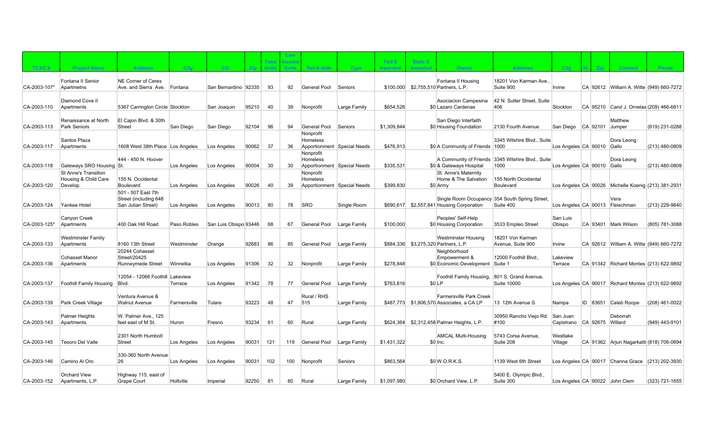|              |                                                     |                                             |              |                       |       |                       | Low                   |                                         |              |                          |                                   |                                                |                                                            |                                 |       |      |                                                     |                |
|--------------|-----------------------------------------------------|---------------------------------------------|--------------|-----------------------|-------|-----------------------|-----------------------|-----------------------------------------|--------------|--------------------------|-----------------------------------|------------------------------------------------|------------------------------------------------------------|---------------------------------|-------|------|-----------------------------------------------------|----------------|
| TCAC#        | <b>Project Name</b>                                 | <b>Address</b>                              | City.        | CO.                   | Zip-  | Total<br><b>Units</b> | ncome<br><b>Units</b> | Set-A-Side                              | Type         | Fed \$<br><b>Awarded</b> | <b>State \$</b><br><b>Awarded</b> | Owner                                          | <b>Address</b>                                             | City                            | I St. | Zip- | <b>Contact</b>                                      | <b>Phone</b>   |
|              |                                                     |                                             |              |                       |       |                       |                       |                                         |              |                          |                                   |                                                |                                                            |                                 |       |      |                                                     |                |
|              | Fontana II Senior                                   | <b>NE Corner of Ceres</b>                   |              |                       |       |                       |                       |                                         |              |                          |                                   | Fontana II Housing                             | 18201 Von Karman Ave.                                      |                                 |       |      |                                                     |                |
| CA-2003-107* | Apartmetns                                          | Ave. and Sierra Ave.                        | Fontana      | San Bernardino 92335  |       | 93                    | 92                    | General Pool                            | Seniors      |                          |                                   | \$100,000 \$2,755,510 Partners, L.P.           | Suite 900                                                  | Irvine                          |       |      | CA 92612 William A. Witte (949) 660-7272            |                |
|              | Diamond Cove II                                     |                                             |              |                       |       |                       |                       |                                         |              |                          |                                   | Asociacion Campesina                           | 42 N. Sutter Street. Suite                                 |                                 |       |      |                                                     |                |
| CA-2003-110  | Apartments                                          | 5367 Carrington Circle Stockton             |              | San Joaquin           | 95210 | 40                    | 39                    | Nonprofit                               | Large Family | \$654.526                |                                   | \$0 Lazaro Cardenas                            | 406                                                        | Stockton                        |       |      | CA 95210 Carol J. Ornelas (209) 466-6811            |                |
|              |                                                     |                                             |              |                       |       |                       |                       |                                         |              |                          |                                   |                                                |                                                            |                                 |       |      |                                                     |                |
| CA-2003-113  | Renaissance at North<br>Park Seniors                | El Cajon Blvd. & 30th<br><b>Street</b>      | San Diego    | San Diego             | 92104 | 96                    | 94                    | General Pool                            | Seniors      | \$1,309,844              |                                   | San Diego Interfaith<br>\$0 Housing Foundation | 2130 Fourth Avenue                                         | San Diego   CA 92101 Jumper     |       |      | Matthew                                             | (619) 231-0288 |
|              |                                                     |                                             |              |                       |       |                       |                       | Nonprofit                               |              |                          |                                   |                                                |                                                            |                                 |       |      |                                                     |                |
| CA-2003-117  | Santos Plaza                                        |                                             |              |                       | 90062 | 37                    | 36                    | Homeless<br>Apportionment Special Needs |              | \$476,913                |                                   |                                                | 3345 Wilshire Blvd., Suite                                 | Los Angeles CA 90010 Gallo      |       |      | Dora Leong                                          | (213) 480-0809 |
|              | Apartments                                          | 1608 West 38th Place Los Angeles            |              | Los Angeles           |       |                       |                       | Nonprofit                               |              |                          |                                   | \$0 A Community of Friends 1000                |                                                            |                                 |       |      |                                                     |                |
|              |                                                     | 444 - 450 N. Hoover                         |              |                       |       |                       |                       | Homeless                                |              |                          |                                   |                                                | A Community of Friends 3345 Wilshire Blyd., Suite          |                                 |       |      | Dora Leong                                          |                |
| CA-2003-118  | Gateways SRO Housing St.                            |                                             | Los Angeles  | Los Angeles           | 90004 | 30                    | 30                    | Apportionment Special Needs             |              | \$335,531                |                                   | \$0 & Gateways Hospital                        | 1000                                                       | Los Angeles CA 90010 Gallo      |       |      |                                                     | (213) 480-0809 |
|              | <b>St Anne's Transition</b><br>Housing & Child Care | 155 N. Occidental                           |              |                       |       |                       |                       | Nonprofit<br>Homeless                   |              |                          |                                   | St. Anne's Maternity<br>Home & The Salvation   | 155 North Occidental                                       |                                 |       |      |                                                     |                |
| CA-2003-120  | Develop.                                            | Boulevard                                   | Los Angeles  | Los Angeles           | 90026 | 40                    | 39                    | Apportionment Special Needs             |              | \$399,830                |                                   | \$0 Army                                       | Boulevard                                                  |                                 |       |      | Los Angeles CA 90026 Michelle Koenig (213) 381-2931 |                |
|              |                                                     | 501 - 507 East 7th                          |              |                       |       |                       |                       |                                         |              |                          |                                   |                                                |                                                            |                                 |       |      |                                                     |                |
| CA-2003-124  | Yankee Hotel                                        | Street (including 648<br>San Julian Street) | Los Angeles  | Los Angeles           | 90013 | 80                    | 78                    | <b>SRO</b>                              | Single Room  |                          |                                   | \$690,617 \$2,557,841 Housing Corporation      | Single Room Occupancy 354 South Spring Street<br>Suite 400 | Los Angeles CA 90013 Fleischman |       |      | Vera                                                | (213) 229-9640 |
|              |                                                     |                                             |              |                       |       |                       |                       |                                         |              |                          |                                   |                                                |                                                            |                                 |       |      |                                                     |                |
|              | Canyon Creek                                        |                                             |              |                       |       |                       |                       |                                         |              |                          |                                   | Peoples' Self-Help                             |                                                            | San Luis                        |       |      |                                                     |                |
| CA-2003-125* | Apartments                                          | 400 Oak Hill Road                           | Paso Robles  | San Luis Obispo 93446 |       | 68                    | 67                    | General Pool                            | Large Family | \$100,000                |                                   | \$0 Housing Corporation                        | 3533 Empleo Street                                         | Obispo                          |       |      | CA 93401 Mark Wilson                                | (805) 781-3088 |
|              | Westminster Family                                  |                                             |              |                       |       |                       |                       |                                         |              |                          |                                   | <b>Westminster Housing</b>                     | 18201 Von Karman                                           |                                 |       |      |                                                     |                |
| CA-2003-133  | Apartments                                          | 8160 13th Street                            | Westminster  | Orange                | 92683 | 86                    | 85                    | <b>General Pool</b>                     | Large Family |                          |                                   | \$884,336 \$3,275,320 Partners, L.P.           | Avenue, Suite 900                                          | Irvine                          |       |      | CA 92612 William A. Witte (949) 660-7272            |                |
|              | <b>Cohasset Manor</b>                               | 20244 Cohasset<br>Street/20425              |              |                       |       |                       |                       |                                         |              |                          |                                   | Neighborhood<br>Empowerment &                  | 12000 Foothill Blvd                                        | Lakeview                        |       |      |                                                     |                |
| CA-2003-136  | Apartments                                          | <b>Runneymede Street</b>                    | Winnetka     | Los Angeles           | 91306 | 32                    | 32                    | Nonprofit                               | Large Family | \$278.848                |                                   | \$0 Economic Development Suite 1               |                                                            | Terrace                         |       |      | CA 91342 Richard Montes (213) 622-9892              |                |
|              |                                                     |                                             |              |                       |       |                       |                       |                                         |              |                          |                                   |                                                |                                                            |                                 |       |      |                                                     |                |
| CA-2003-137  | Foothill Family Housing                             | 12054 - 12066 Foothill Lakeview<br>Blvd.    | Terrace      | Los Angeles           | 91342 | 78                    | 77                    | General Pool                            | Large Family | \$763,816                |                                   | Foothill Family Housing,<br>\$0 LP             | 801 S. Grand Avenue,<br>Suite 10000                        |                                 |       |      | Los Angeles CA 90017 Richard Montes (213) 622-9892  |                |
|              |                                                     |                                             |              |                       |       |                       |                       |                                         |              |                          |                                   |                                                |                                                            |                                 |       |      |                                                     |                |
|              |                                                     | Ventura Avenue &                            |              |                       |       |                       |                       | Rural / RHS                             |              |                          |                                   | <b>Farmersville Park Creek</b>                 |                                                            |                                 |       |      |                                                     |                |
| CA-2003-139  | Park Creek Village                                  | <b>Walnut Avenue</b>                        | Farmersville | Tulare                | 93223 | 48                    | 47                    | 515                                     | Large Family |                          |                                   | \$487,773 \$1,806,570 Associates, a CA LP      | 13 12th Avenue S.                                          | Nampa                           |       |      | ID 83651 Caleb Roope                                | (208) 461-0022 |
|              | Palmer Heights                                      | W. Palmer Ave., 125                         |              |                       |       |                       |                       |                                         |              |                          |                                   |                                                | 30950 Rancho Viejo Rd.                                     | San Juan                        |       |      | Deborrah                                            |                |
| CA-2003-143  | Apartments                                          | feet east of M St.                          | Huron        | Fresno                | 93234 | 61                    | 60                    | Rural                                   | Large Family |                          |                                   | \$624,364 \$2,312,458 Palmer Heights, L.P.     | #100                                                       | Capistrano CA 92675 Willard     |       |      |                                                     | (949) 443-9101 |
|              |                                                     | 2301 North Humbolt                          |              |                       |       |                       |                       |                                         |              |                          |                                   | <b>AMCAL Multi-Housing</b>                     | 5743 Corsa Avenue.                                         | Westlake                        |       |      |                                                     |                |
| CA-2003-145  | Tesoro Del Valle                                    | <b>Street</b>                               | Los Angeles  | Los Angeles           | 90031 | 121                   | 119                   | General Pool                            | Large Family | \$1.431.322              |                                   | $$0$ Inc.                                      | Suite 208                                                  | Village                         |       |      | CA 91362 Arjun Nagarkatti (818) 706-0694            |                |
|              |                                                     |                                             |              |                       |       |                       |                       |                                         |              |                          |                                   |                                                |                                                            |                                 |       |      |                                                     |                |
| CA-2003-146  | Camino Al Oro                                       | 330-360 North Avenue<br>26                  |              |                       | 90031 | 102                   | 100                   |                                         |              | \$863,564                |                                   | $$0$ W.O.R.K.S.                                | 1139 West 6th Street                                       |                                 |       |      |                                                     |                |
|              |                                                     |                                             | Los Angeles  | Los Angeles           |       |                       |                       | Nonprofit                               | Seniors      |                          |                                   |                                                |                                                            |                                 |       |      | Los Angeles CA 90017 Channa Grace (213) 202-3930    |                |
|              | <b>Orchard View</b>                                 | Highway 115, east of                        |              |                       |       |                       |                       |                                         |              |                          |                                   |                                                | 5400 E. Olympic Blvd.,                                     |                                 |       |      |                                                     |                |
| CA-2003-152  | Apartments, L.P.                                    | Grape Court                                 | Holtville    | Imperial              | 92250 | 81                    | 80                    | Rural                                   | Large Family | \$1.097.980              |                                   | \$0 Orchard View, L.P.                         | Suite 300                                                  | Los Angeles CA 90022 John Clem  |       |      |                                                     | (323) 721-1655 |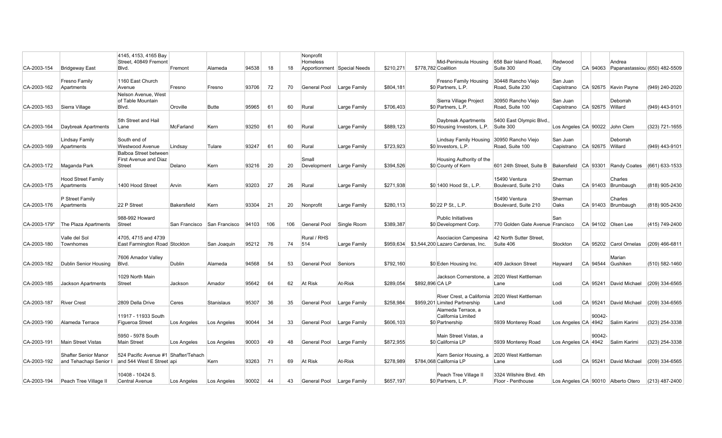|                 |                                                | 4145, 4153, 4165 Bay                                              |             |                               |       |     |     | Nonprofit                   |                             |           |                 |                                                                     |                                                                  |                 |                                |                                        |                  |
|-----------------|------------------------------------------------|-------------------------------------------------------------------|-------------|-------------------------------|-------|-----|-----|-----------------------------|-----------------------------|-----------|-----------------|---------------------------------------------------------------------|------------------------------------------------------------------|-----------------|--------------------------------|----------------------------------------|------------------|
|                 |                                                | Street, 40849 Fremont                                             |             |                               |       |     |     | Homeless                    |                             |           |                 | Mid-Peninsula Housing                                               | 658 Bair Island Road,                                            | Redwood         |                                | Andrea                                 |                  |
| CA-2003-154     | Bridgeway East                                 | Blvd.                                                             | Fremont     | Alameda                       | 94538 | 18  | 18  |                             | Apportionment Special Needs | \$210,271 |                 | \$778,782 Coalition                                                 | Suite 300                                                        | City            |                                | CA 94063 Papanastassiou (650) 482-5509 |                  |
| CA-2003-162     | Fresno Family<br>Apartments                    | 1160 East Church<br>Avenue                                        | Fresno      | Fresno                        | 93706 | 72  | 70  | General Pool                | Large Family                | \$804.181 |                 | Fresno Family Housing<br>\$0 Partners, L.P.                         | 30448 Rancho Viejo<br>Road. Suite 230                            | San Juan        |                                | Capistrano CA 92675 Kevin Payne        | (949) 240-2020   |
| CA-2003-163     | Sierra Village                                 | Nelson Avenue, West<br>of Table Mountain<br>Blvd.                 | Oroville    | Butte                         | 95965 | 61  | 60  | Rural                       | Large Family                | \$706,403 |                 | Sierra Village Project<br>\$0 Partners, L.P.                        | 30950 Rancho Vieio<br>Road, Suite 100                            | San Juan        | Capistrano CA 92675 Willard    | Deborrah                               | (949) 443-9101   |
| CA-2003-164     | Daybreak Apartments                            | 5th Street and Hail<br>Lane                                       | McFarland   | Kern                          | 93250 | 61  | 60  | Rural                       | Large Family                | \$889.123 |                 | Daybreak Apartments<br>\$0 Housing Investors, L.P.                  | 5400 East Olympic Blvd.<br>Suite 300                             |                 | Los Angeles CA 90022 John Clem |                                        | (323) 721-1655   |
| CA-2003-169     | Lindsay Family<br>Apartments                   | South end of<br><b>Westwood Avenue</b>                            | Lindsay     | Tulare                        | 93247 | 61  | 60  | Rural                       | Large Family                | \$723,923 |                 | <b>Lindsay Family Housing</b><br>\$0 Investors, L.P.                | 30950 Rancho Viejo<br>Road, Suite 100                            | San Juan        | Capistrano CA 92675 Willard    | Deborrah                               | (949) 443-9101   |
| CA-2003-172     | Maganda Park                                   | Balboa Street between<br><b>First Avenue and Diaz</b><br>Street   | Delano      | Kern                          | 93216 | 20  | 20  | Small<br>Development        | Large Family                | \$394,526 |                 | Housing Authority of the<br>\$0 County of Kern                      | 601 24th Street, Suite B   Bakersfield   CA 93301   Randy Coates |                 |                                |                                        | $(661)$ 633-1533 |
| CA-2003-175     | <b>Hood Street Family</b><br>Apartments        | 1400 Hood Street                                                  | Arvin       | Kern                          | 93203 | 27  | 26  | Rural                       | Large Family                | \$271.938 |                 | \$0 1400 Hood St., L.P.                                             | 15490 Ventura<br>Boulevard, Suite 210                            | Sherman<br>Oaks |                                | Charles<br>CA 91403 Brumbaugh          | (818) 905-2430   |
| CA-2003-176     | P Street Family<br>Apartments                  | 22 P Street                                                       | Bakersfield | Kern                          | 93304 | 21  | 20  | Nonprofit                   | Large Family                | \$280,113 |                 | \$0 22 P St., L.P.                                                  | 15490 Ventura<br>Boulevard, Suite 210                            | Sherman<br>Oaks |                                | Charles<br>CA 91403 Brumbaugh          | (818) 905-2430   |
| $ CA-2003-179*$ | The Plaza Apartments                           | 988-992 Howard<br>Street                                          |             | San Francisco   San Francisco | 94103 | 106 | 106 | General Pool                | Single Room                 | \$389.387 |                 | <b>Public Initiatives</b><br>\$0 Development Corp.                  | 770 Golden Gate Avenue Francisco                                 | San             | CA 94102 Olsen Lee             |                                        | (415) 749-2400   |
| CA-2003-180     | Valle del Sol<br>Townhomes                     | 4705, 4715 and 4739<br>East Farmington Road Stockton              |             | San Joaquin                   | 95212 | 76  | 74  | Rural / RHS<br>514          | Large Family                |           |                 | Asociacion Campesina<br>\$959,634 \$3,544,200 Lazaro Cardenas, Inc. | 42 North Sutter Street,<br>Suite 406                             | Stockton        |                                | CA 95202 Carol Ornelas                 | (209) 466-6811   |
| CA-2003-182     | Dublin Senior Housing                          | 7606 Amador Valley<br>Blvd.                                       | Dublin      | Alameda                       | 94568 | 54  | 53  | General Pool                | Seniors                     | \$792.160 |                 | \$0 Eden Housing Inc.                                               | 409 Jackson Street                                               | Hayward         | CA 94544 Gushiken              | Marian                                 | (510) 582-1460   |
| CA-2003-185     | Jackson Apartments                             | 1029 North Main<br>Street                                         | Jackson     | Amador                        | 95642 | 64  | 62  | At Risk                     | At-Risk                     | \$289.054 | \$892,896 CA LP | Jackson Cornerstone, a                                              | 2020 West Kettleman<br>Lane                                      | Lodi            |                                | CA 95241 David Michael                 | (209) 334-6565   |
| CA-2003-187     | <b>River Crest</b>                             | 2809 Della Drive                                                  | Ceres       | Stanislaus                    | 95307 | 36  | 35  | General Pool   Large Family |                             | \$258.984 |                 | River Crest, a California<br>\$959,201 Limited Partnership          | 2020 West Kettleman<br>Land                                      | Lodi            |                                | CA 95241 David Michael                 | $(209)$ 334-6565 |
| CA-2003-190     | Alameda Terrace                                | 11917 - 11933 South<br>Figueroa Street                            | Los Angeles | Los Angeles                   | 90044 | 34  | 33  | General Pool   Large Family |                             | \$606,103 |                 | Alameda Terrace, a<br>California Limited<br>\$0 Partnership         | 5939 Monterey Road                                               |                 | 90042                          | Los Angeles CA 4942 Salim Karimi       | (323) 254-3338   |
| CA-2003-191     | Main Street Vistas                             | 5950 - 5978 South<br>Main Street                                  | Los Angeles | Los Angeles                   | 90003 | 49  | 48  | General Pool                | Large Family                | \$872.955 |                 | Main Street Vistas, a<br>\$0 California LP                          | 5939 Monterey Road                                               |                 | 90042                          | Los Angeles CA 4942 Salim Karimi       | (323) 254-3338   |
| CA-2003-192     | Shafter Senior Manor<br>and Tehachapi Senior I | 524 Pacific Avenue #1 Shafter/Tehach<br>and 544 West E Street api |             | Kern                          | 93263 | 71  | 69  | At Risk                     | At-Risk                     | \$278,989 |                 | Kern Senior Housing, a<br>\$784,068 California LP                   | 2020 West Kettleman<br>Lane                                      | Lodi            |                                | CA 95241 David Michael                 | $(209)$ 334-6565 |
| CA-2003-194     | Peach Tree Village II                          | 10408 - 10424 S.<br>Central Avenue                                | Los Angeles | Los Angeles                   | 90002 | 44  | 43  | General Pool                | Large Family                | \$657.197 |                 | Peach Tree Village II<br>\$0 Partners, L.P.                         | 3324 Wilshire Blvd. 4th<br>Floor - Penthouse                     |                 |                                | Los Angeles CA 90010 Alberto Otero     | $(213)$ 487-2400 |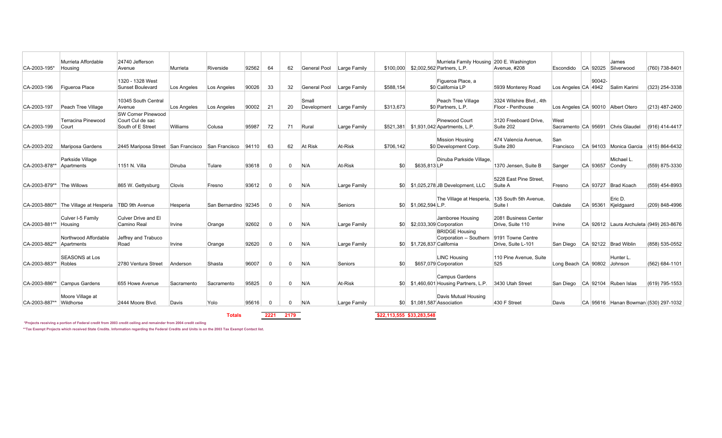| CA-2003-195*              | Murrieta Affordable<br>Housing           | 24740 Jefferson<br>Avenue                                          | Murrieta    | Riverside            | 92562 | 64       | 62           | General Pool         | Large Family |           |                            | Murrieta Family Housing 200 E. Washington<br>\$100,000 \$2,002,562 Partners, L.P. | Avenue, #208                                  | Escondido CA 92025 Silverwood |          | James                                   | (760) 738-8401     |
|---------------------------|------------------------------------------|--------------------------------------------------------------------|-------------|----------------------|-------|----------|--------------|----------------------|--------------|-----------|----------------------------|-----------------------------------------------------------------------------------|-----------------------------------------------|-------------------------------|----------|-----------------------------------------|--------------------|
| CA-2003-196               | Figueroa Place                           | 1320 - 1328 West<br>Sunset Boulevard                               | Los Angeles | Los Angeles          | 90026 | 33       | 32           | General Pool         | Large Family | \$588,154 |                            | Figueroa Place, a<br>\$0 California LP                                            | 5939 Monterey Road                            | Los Angeles CA 4942           | 90042-   | Salim Karimi                            | (323) 254-3338     |
| CA-2003-197               | Peach Tree Village                       | 10345 South Central<br>Avenue                                      | Los Angeles | Los Angeles          | 90002 | 21       | 20           | Small<br>Development | Large Family | \$313,673 |                            | Peach Tree Village<br>\$0 Partners, L.P.                                          | 3324 Wilshire Blvd., 4th<br>Floor - Penthouse |                               |          | Los Angeles CA 90010 Albert Otero       | (213) 487-2400     |
| CA-2003-199               | Terracina Pinewood<br>Court              | <b>SW Corner Pinewood</b><br>Court Cul de sac<br>South of E Street | Williams    | Colusa               | 95987 | 72       | 71           | Rural                | Large Family |           |                            | Pinewood Court<br>\$521,381 \$1,931,042 Apartments, L.P.                          | 3120 Freeboard Drive.<br>Suite 202            | West                          |          | Sacramento CA 95691 Chris Glaudel       | (916) 414-4417     |
| CA-2003-202               | Mariposa Gardens                         | 2445 Mariposa Street San Francisco San Francisco                   |             |                      | 94110 | 63       | 62           | At Risk              | At-Risk      | \$706,142 |                            | <b>Mission Housing</b><br>\$0 Development Corp.                                   | 474 Valencia Avenue.<br>Suite 280             | San<br>Francisco              |          | CA 94103 Monica Garcia                  | $(415) 864 - 6432$ |
| CA-2003-878**             | Parkside Village<br>Apartments           | 1151 N. Villa                                                      | Dinuba      | Tulare               | 93618 | $\Omega$ | $\mathbf 0$  | N/A                  | At-Risk      | \$0       | \$635,813LP                | Dinuba Parkside Village.                                                          | 1370 Jensen, Suite B                          | Sanger                        | CA 93657 | Michael L.<br>Condry                    | (559) 875-3330     |
| CA-2003-879** The Willows |                                          | 865 W. Gettysburg                                                  | Clovis      | Fresno               | 93612 | $\Omega$ | $\mathbf 0$  | N/A                  | Large Family |           |                            | \$0 \$1,025,278 JB Development, LLC                                               | 5228 East Pine Street<br>Suite A              | Fresno                        |          | CA 93727 Brad Koach                     | (559) 454-8993     |
| CA-2003-880**             | The Village at Hesperia   TBD 9th Avenue |                                                                    | Hesperia    | San Bernardino 92345 |       | $\Omega$ | $\Omega$     | N/A                  | Seniors      |           | $$0$ $$1,062,594$ L.P.     | The Village at Hesperia.                                                          | 135 South 5th Avenue.<br>Suite I              | Oakdale                       | CA 95361 | Eric D.<br>Kjeldgaard                   | (209) 848-4996     |
| CA-2003-881**             | Culver I-5 Family<br>Housing             | Culver Drive and El<br>Camino Real                                 | Irvine      | Orange               | 92602 | $\Omega$ | $\Omega$     | N/A                  | Large Family |           |                            | Jamboree Housing<br>\$0 \$2,033,309 Corporation                                   | 2081 Business Center<br>Drive, Suite 110      | Irvine                        |          | CA 92612 Laura Archuleta (949) 263-8676 |                    |
| CA-2003-882**             | Northwood Affordable<br>Apartments       | Jeffrey and Trabuco<br>Road                                        | Irvine      | Orange               | 92620 | $\Omega$ | $\Omega$     | N/A                  | Large Family |           | \$0 \$1,726,837 California | <b>BRIDGE Housing</b><br>Corporation -- Southern                                  | 9191 Towne Centre<br>Drive, Suite L-101       |                               |          | San Diego   CA 92122   Brad Wiblin      | (858) 535-0552     |
| CA-2003-883**             | <b>SEASONS at Los</b><br>Robles          | 2780 Ventura Street                                                | Anderson    | Shasta               | 96007 | $\Omega$ | $\mathbf{0}$ | N/A                  | Seniors      | \$0       |                            | <b>LINC Housing</b><br>\$657.079 Corporation                                      | 110 Pine Avenue, Suite<br>525                 | Long Beach CA 90802           |          | Hunter L.<br>Johnson                    | (562) 684-1101     |
| CA-2003-886**             | Campus Gardens                           | 655 Howe Avenue                                                    | Sacramento  | Sacramento           | 95825 | $\Omega$ | $\Omega$     | N/A                  | At-Risk      |           |                            | Campus Gardens<br>\$0 \$1,460,601 Housing Partners, L.P.                          | 3430 Utah Street                              |                               |          | San Diego   CA 92104   Ruben Islas      | (619) 795-1553     |
| CA-2003-887**             | Moore Village at<br>Wildhorse            | 2444 Moore Blvd.                                                   | Davis       | Yolo                 | 95616 | $\Omega$ | $\mathbf{0}$ | N/A                  | Large Family |           |                            | Davis Mutual Housing<br>\$0 \$1,081,587 Association                               | 430 F Street                                  | Davis                         |          | CA 95616 Hanan Bowman (530) 297-1032    |                    |

**2221 2179 \$22,113,555 \$33,283,548**

 **\*Projects receiving a portion of Federal credit from 2003 credit ceiling and remainder from 2004 credit ceiling**

**\*\*Tax Exempt Projects which received State Credits. Information regarding the Federal Credits and Units is on the 2003 Tax Exempt Contact list.**

**Totals**